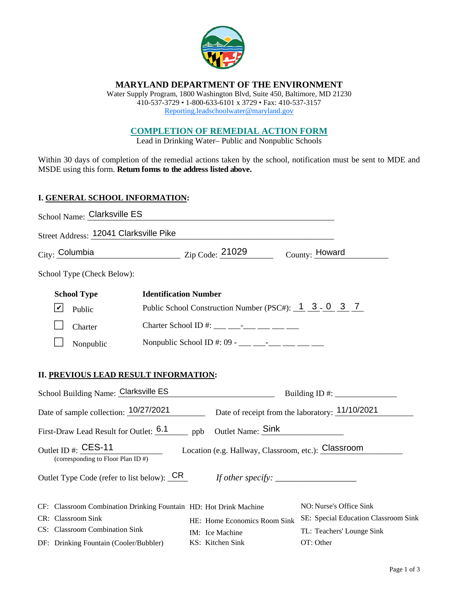

# **MARYLAND DEPARTMENT OF THE ENVIRONMENT**

Water Supply Program, 1800 Washington Blvd, Suite 450, Baltimore, MD 21230 410-537-3729 • 1-800-633-6101 x 3729 • Fax: 410-537-3157 Reporting.leadschoolwater@maryland.gov

# **COMPLETION OF REMEDIAL ACTION FORM**

Lead in Drinking Water– Public and Nonpublic Schools

Within 30 days of completion of the remedial actions taken by the school, notification must be sent to MDE and MSDE using this form. **Return forms to the address listed above.** 

#### **I. GENERAL SCHOOL INFORMATION:**

| School Name: Clarksville ES                                              |                                                                                                                                                                                                                                                                                                                                                                                                                               |                                        |  |
|--------------------------------------------------------------------------|-------------------------------------------------------------------------------------------------------------------------------------------------------------------------------------------------------------------------------------------------------------------------------------------------------------------------------------------------------------------------------------------------------------------------------|----------------------------------------|--|
| Street Address: 12041 Clarksville Pike                                   |                                                                                                                                                                                                                                                                                                                                                                                                                               |                                        |  |
| City: Columbia                                                           | $\frac{21029}{\text{Lip Code: } \frac{21029}{\text{Lip Code: } \frac{21029}{\text{Lip block: } \frac{21029}{\text{Lip block: } \frac{21029}{\text{Lip block: } \frac{21029}{\text{Lip block: } \frac{21029}{\text{Lip block: } \frac{21029}{\text{Lip block: } \frac{21029}{\text{Lip block: } \frac{21029}{\text{Lip block: } \frac{21029}{\text{Lip block: } \frac{21029}{\text{Lip block: } \frac{21029}{\text{Lip block:$ | County: Howard                         |  |
| School Type (Check Below):                                               |                                                                                                                                                                                                                                                                                                                                                                                                                               |                                        |  |
| <b>School Type</b><br><b>Identification Number</b>                       |                                                                                                                                                                                                                                                                                                                                                                                                                               |                                        |  |
| $ \boldsymbol{v} $<br>Public                                             | Public School Construction Number (PSC#): 1 3 - 0 3 7                                                                                                                                                                                                                                                                                                                                                                         |                                        |  |
| Charter                                                                  | Charter School ID #: ___ ___________ ____ ____                                                                                                                                                                                                                                                                                                                                                                                |                                        |  |
| Nonpublic                                                                | Nonpublic School ID #: 09 - ___ ___ -__ ___ ___ ___ ___                                                                                                                                                                                                                                                                                                                                                                       |                                        |  |
| II. PREVIOUS LEAD RESULT INFORMATION:                                    |                                                                                                                                                                                                                                                                                                                                                                                                                               |                                        |  |
| School Building Name: Clarksville ES                                     |                                                                                                                                                                                                                                                                                                                                                                                                                               |                                        |  |
| Date of sample collection: 10/27/2021                                    | Date of receipt from the laboratory: 11/10/2021                                                                                                                                                                                                                                                                                                                                                                               |                                        |  |
| First-Draw Lead Result for Outlet: 6.1 ppb Outlet Name: Sink             |                                                                                                                                                                                                                                                                                                                                                                                                                               |                                        |  |
| Outlet ID #: CES-11<br>(corresponding to Floor Plan ID #)                | Location (e.g. Hallway, Classroom, etc.): Classroom                                                                                                                                                                                                                                                                                                                                                                           |                                        |  |
|                                                                          |                                                                                                                                                                                                                                                                                                                                                                                                                               |                                        |  |
| CF: Classroom Combination Drinking Fountain HD: Hot Drink Machine        |                                                                                                                                                                                                                                                                                                                                                                                                                               | NO: Nurse's Office Sink                |  |
| CR: Classroom Sink                                                       | HE: Home Economics Room Sink                                                                                                                                                                                                                                                                                                                                                                                                  | SE: Special Education Classroom Sink   |  |
| CS: Classroom Combination Sink<br>DF: Drinking Fountain (Cooler/Bubbler) | IM: Ice Machine<br>KS: Kitchen Sink                                                                                                                                                                                                                                                                                                                                                                                           | TL: Teachers' Lounge Sink<br>OT: Other |  |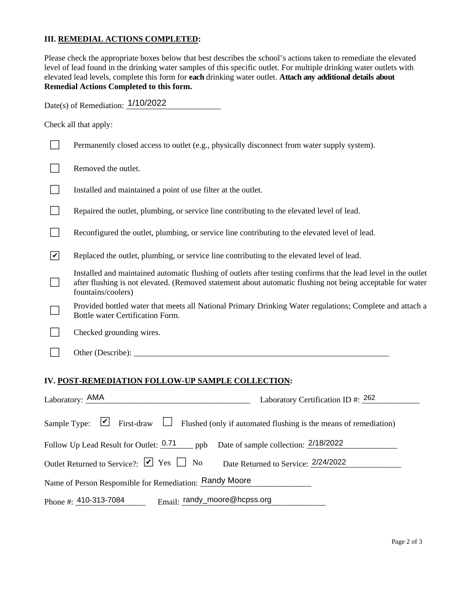## **III. REMEDIAL ACTIONS COMPLETED:**

Please check the appropriate boxes below that best describes the school's actions taken to remediate the elevated level of lead found in the drinking water samples of this specific outlet. For multiple drinking water outlets with elevated lead levels, complete this form for **each** drinking water outlet. **Attach any additional details about Remedial Actions Completed to this form.** 

Date(s) of Remediation:  $\frac{1/10/2022}{\sqrt{10/10}}$ 

Check all that apply:

|              | Permanently closed access to outlet (e.g., physically disconnect from water supply system).                                                                                                                                                         |
|--------------|-----------------------------------------------------------------------------------------------------------------------------------------------------------------------------------------------------------------------------------------------------|
|              | Removed the outlet.                                                                                                                                                                                                                                 |
|              | Installed and maintained a point of use filter at the outlet.                                                                                                                                                                                       |
|              | Repaired the outlet, plumbing, or service line contributing to the elevated level of lead.                                                                                                                                                          |
|              | Reconfigured the outlet, plumbing, or service line contributing to the elevated level of lead.                                                                                                                                                      |
| $\checkmark$ | Replaced the outlet, plumbing, or service line contributing to the elevated level of lead.                                                                                                                                                          |
|              | Installed and maintained automatic flushing of outlets after testing confirms that the lead level in the outlet<br>after flushing is not elevated. (Removed statement about automatic flushing not being acceptable for water<br>fountains/coolers) |
|              | Provided bottled water that meets all National Primary Drinking Water regulations; Complete and attach a<br>Bottle water Certification Form.                                                                                                        |
|              | Checked grounding wires.                                                                                                                                                                                                                            |
|              |                                                                                                                                                                                                                                                     |
|              | IV. POST-REMEDIATION FOLLOW-UP SAMPLE COLLECTION:                                                                                                                                                                                                   |
|              | <b>ARAA</b><br>non                                                                                                                                                                                                                                  |

| Laboratory: AMA<br>Laboratory Certification ID #: $262$                         |                                                                                                                                 |
|---------------------------------------------------------------------------------|---------------------------------------------------------------------------------------------------------------------------------|
|                                                                                 | Sample Type: $\boxed{\smile}$ First-draw $\boxed{\phantom{a}}$ Flushed (only if automated flushing is the means of remediation) |
| Follow Up Lead Result for Outlet: 0.71 ppb Date of sample collection: 2/18/2022 |                                                                                                                                 |
| Outlet Returned to Service?: $\boxed{\triangleright}$ Yes $\boxed{\square}$ No  | Date Returned to Service: 2/24/2022                                                                                             |
| Name of Person Responsible for Remediation: Randy Moore                         |                                                                                                                                 |
| Phone #: $410-313-7084$                                                         | Email: randy_moore@hcpss.org                                                                                                    |